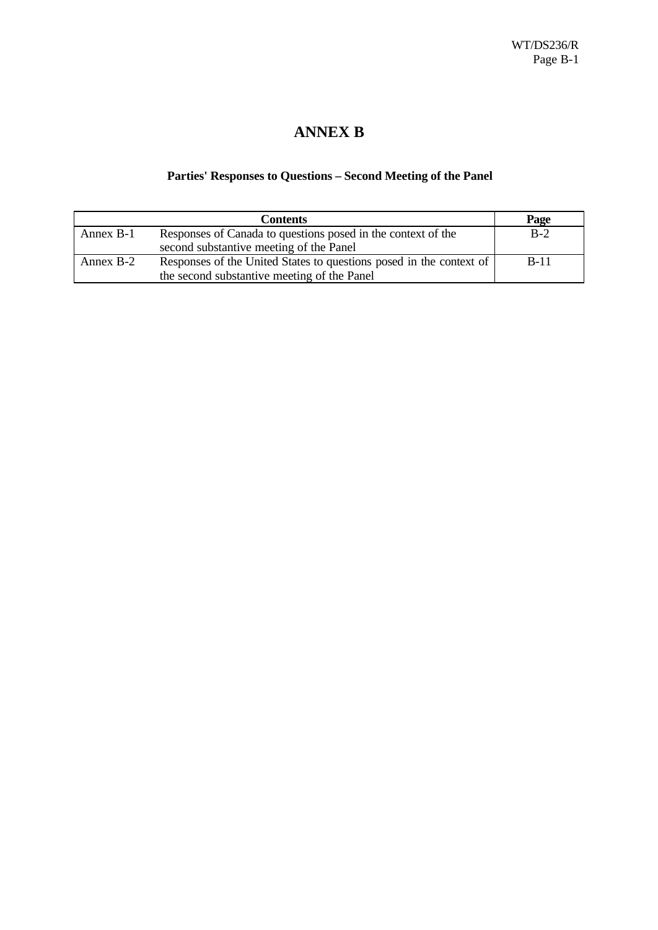# **ANNEX B**

### **Parties' Responses to Questions – Second Meeting of the Panel**

|           | <b>Contents</b>                                                     | Page   |
|-----------|---------------------------------------------------------------------|--------|
| Annex B-1 | Responses of Canada to questions posed in the context of the        | $B-2$  |
|           | second substantive meeting of the Panel                             |        |
| Annex B-2 | Responses of the United States to questions posed in the context of | $B-11$ |
|           | the second substantive meeting of the Panel                         |        |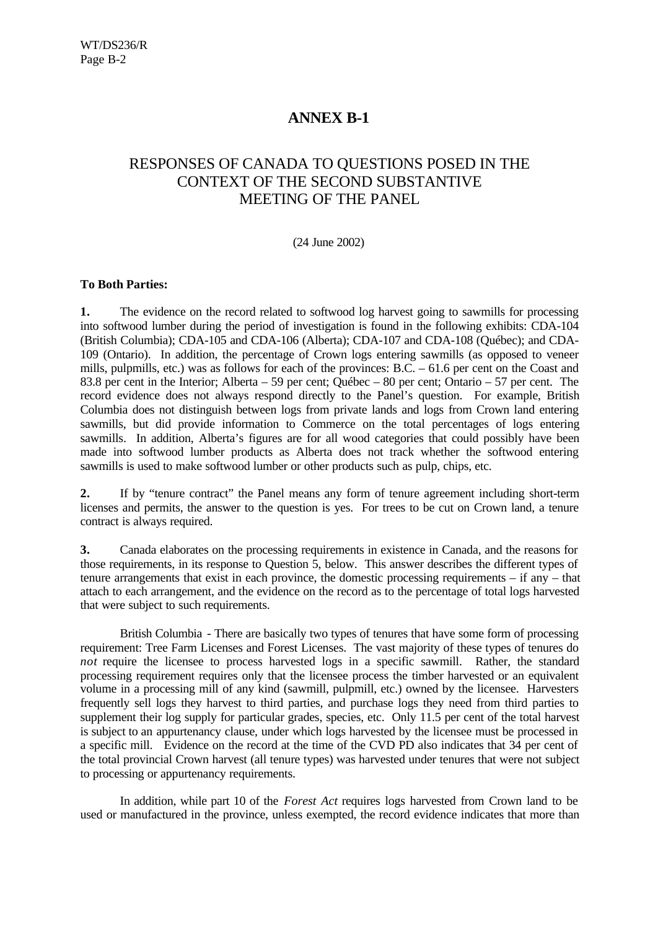# **ANNEX B-1**

# RESPONSES OF CANADA TO QUESTIONS POSED IN THE CONTEXT OF THE SECOND SUBSTANTIVE MEETING OF THE PANEL

#### (24 June 2002)

#### **To Both Parties:**

**1.** The evidence on the record related to softwood log harvest going to sawmills for processing into softwood lumber during the period of investigation is found in the following exhibits: CDA-104 (British Columbia); CDA-105 and CDA-106 (Alberta); CDA-107 and CDA-108 (Québec); and CDA-109 (Ontario). In addition, the percentage of Crown logs entering sawmills (as opposed to veneer mills, pulpmills, etc.) was as follows for each of the provinces: B.C. – 61.6 per cent on the Coast and 83.8 per cent in the Interior; Alberta – 59 per cent; Québec – 80 per cent; Ontario – 57 per cent. The record evidence does not always respond directly to the Panel's question. For example, British Columbia does not distinguish between logs from private lands and logs from Crown land entering sawmills, but did provide information to Commerce on the total percentages of logs entering sawmills. In addition, Alberta's figures are for all wood categories that could possibly have been made into softwood lumber products as Alberta does not track whether the softwood entering sawmills is used to make softwood lumber or other products such as pulp, chips, etc.

**2.** If by "tenure contract" the Panel means any form of tenure agreement including short-term licenses and permits, the answer to the question is yes. For trees to be cut on Crown land, a tenure contract is always required.

**3.** Canada elaborates on the processing requirements in existence in Canada, and the reasons for those requirements, in its response to Question 5, below. This answer describes the different types of tenure arrangements that exist in each province, the domestic processing requirements – if any – that attach to each arrangement, and the evidence on the record as to the percentage of total logs harvested that were subject to such requirements.

British Columbia *-* There are basically two types of tenures that have some form of processing requirement: Tree Farm Licenses and Forest Licenses. The vast majority of these types of tenures do *not* require the licensee to process harvested logs in a specific sawmill. Rather, the standard processing requirement requires only that the licensee process the timber harvested or an equivalent volume in a processing mill of any kind (sawmill, pulpmill, etc.) owned by the licensee. Harvesters frequently sell logs they harvest to third parties, and purchase logs they need from third parties to supplement their log supply for particular grades, species, etc. Only 11.5 per cent of the total harvest is subject to an appurtenancy clause, under which logs harvested by the licensee must be processed in a specific mill. Evidence on the record at the time of the CVD PD also indicates that 34 per cent of the total provincial Crown harvest (all tenure types) was harvested under tenures that were not subject to processing or appurtenancy requirements.

In addition, while part 10 of the *Forest Act* requires logs harvested from Crown land to be used or manufactured in the province, unless exempted, the record evidence indicates that more than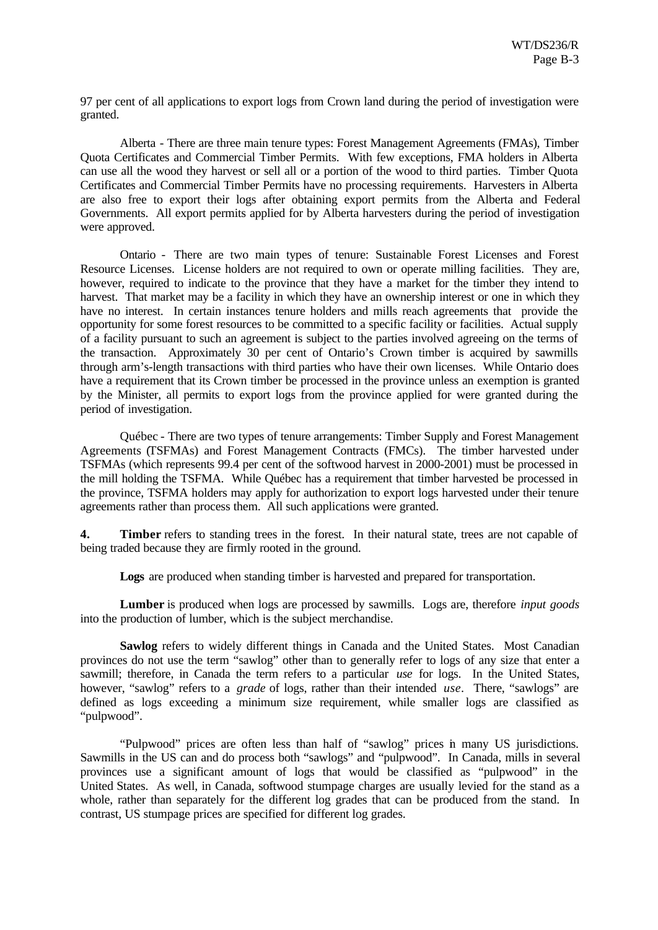97 per cent of all applications to export logs from Crown land during the period of investigation were granted.

Alberta *-* There are three main tenure types: Forest Management Agreements (FMAs), Timber Quota Certificates and Commercial Timber Permits. With few exceptions, FMA holders in Alberta can use all the wood they harvest or sell all or a portion of the wood to third parties. Timber Quota Certificates and Commercial Timber Permits have no processing requirements. Harvesters in Alberta are also free to export their logs after obtaining export permits from the Alberta and Federal Governments. All export permits applied for by Alberta harvesters during the period of investigation were approved.

Ontario *-* There are two main types of tenure: Sustainable Forest Licenses and Forest Resource Licenses. License holders are not required to own or operate milling facilities. They are, however, required to indicate to the province that they have a market for the timber they intend to harvest. That market may be a facility in which they have an ownership interest or one in which they have no interest. In certain instances tenure holders and mills reach agreements that provide the opportunity for some forest resources to be committed to a specific facility or facilities. Actual supply of a facility pursuant to such an agreement is subject to the parties involved agreeing on the terms of the transaction. Approximately 30 per cent of Ontario's Crown timber is acquired by sawmills through arm's-length transactions with third parties who have their own licenses. While Ontario does have a requirement that its Crown timber be processed in the province unless an exemption is granted by the Minister, all permits to export logs from the province applied for were granted during the period of investigation.

Québec *-* There are two types of tenure arrangements: Timber Supply and Forest Management Agreements (TSFMAs) and Forest Management Contracts (FMCs). The timber harvested under TSFMAs (which represents 99.4 per cent of the softwood harvest in 2000-2001) must be processed in the mill holding the TSFMA. While Québec has a requirement that timber harvested be processed in the province, TSFMA holders may apply for authorization to export logs harvested under their tenure agreements rather than process them. All such applications were granted.

**4. Timber** refers to standing trees in the forest. In their natural state, trees are not capable of being traded because they are firmly rooted in the ground.

**Logs** are produced when standing timber is harvested and prepared for transportation.

**Lumber** is produced when logs are processed by sawmills. Logs are, therefore *input goods* into the production of lumber, which is the subject merchandise.

**Sawlog** refers to widely different things in Canada and the United States. Most Canadian provinces do not use the term "sawlog" other than to generally refer to logs of any size that enter a sawmill; therefore, in Canada the term refers to a particular *use* for logs. In the United States, however, "sawlog" refers to a *grade* of logs, rather than their intended *use*. There, "sawlogs" are defined as logs exceeding a minimum size requirement, while smaller logs are classified as "pulpwood".

"Pulpwood" prices are often less than half of "sawlog" prices in many US jurisdictions. Sawmills in the US can and do process both "sawlogs" and "pulpwood". In Canada, mills in several provinces use a significant amount of logs that would be classified as "pulpwood" in the United States. As well, in Canada, softwood stumpage charges are usually levied for the stand as a whole, rather than separately for the different log grades that can be produced from the stand. In contrast, US stumpage prices are specified for different log grades.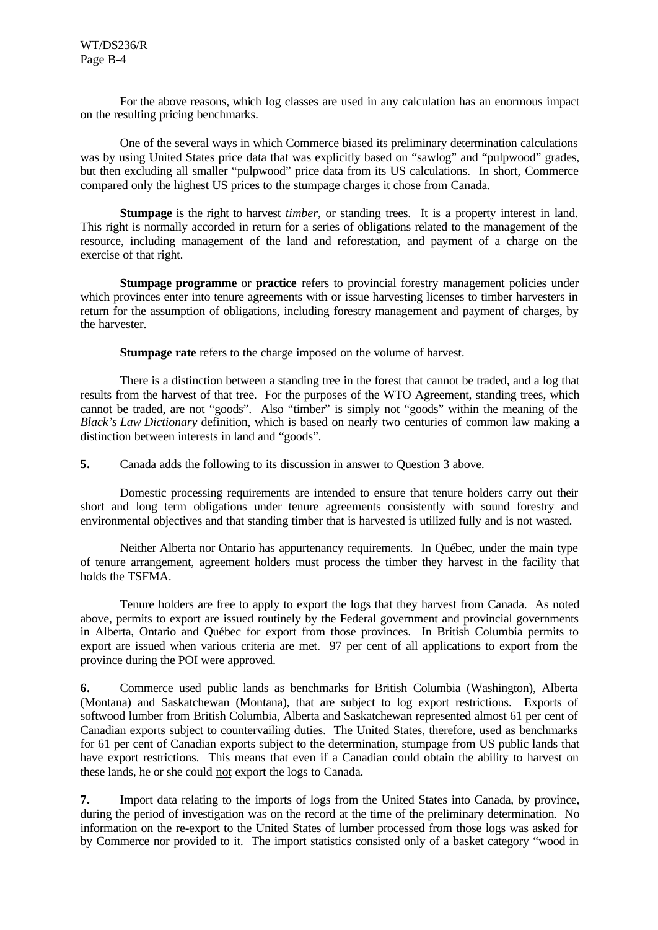For the above reasons, which log classes are used in any calculation has an enormous impact on the resulting pricing benchmarks.

One of the several ways in which Commerce biased its preliminary determination calculations was by using United States price data that was explicitly based on "sawlog" and "pulpwood" grades, but then excluding all smaller "pulpwood" price data from its US calculations. In short, Commerce compared only the highest US prices to the stumpage charges it chose from Canada.

**Stumpage** is the right to harvest *timber*, or standing trees. It is a property interest in land. This right is normally accorded in return for a series of obligations related to the management of the resource, including management of the land and reforestation, and payment of a charge on the exercise of that right.

**Stumpage programme** or **practice** refers to provincial forestry management policies under which provinces enter into tenure agreements with or issue harvesting licenses to timber harvesters in return for the assumption of obligations, including forestry management and payment of charges, by the harvester.

**Stumpage rate** refers to the charge imposed on the volume of harvest.

There is a distinction between a standing tree in the forest that cannot be traded, and a log that results from the harvest of that tree. For the purposes of the WTO Agreement, standing trees, which cannot be traded, are not "goods". Also "timber" is simply not "goods" within the meaning of the *Black's Law Dictionary* definition, which is based on nearly two centuries of common law making a distinction between interests in land and "goods".

**5.** Canada adds the following to its discussion in answer to Question 3 above.

Domestic processing requirements are intended to ensure that tenure holders carry out their short and long term obligations under tenure agreements consistently with sound forestry and environmental objectives and that standing timber that is harvested is utilized fully and is not wasted.

Neither Alberta nor Ontario has appurtenancy requirements. In Québec, under the main type of tenure arrangement, agreement holders must process the timber they harvest in the facility that holds the TSFMA.

Tenure holders are free to apply to export the logs that they harvest from Canada. As noted above, permits to export are issued routinely by the Federal government and provincial governments in Alberta, Ontario and Québec for export from those provinces. In British Columbia permits to export are issued when various criteria are met. 97 per cent of all applications to export from the province during the POI were approved.

**6.** Commerce used public lands as benchmarks for British Columbia (Washington), Alberta (Montana) and Saskatchewan (Montana), that are subject to log export restrictions. Exports of softwood lumber from British Columbia, Alberta and Saskatchewan represented almost 61 per cent of Canadian exports subject to countervailing duties. The United States, therefore, used as benchmarks for 61 per cent of Canadian exports subject to the determination, stumpage from US public lands that have export restrictions. This means that even if a Canadian could obtain the ability to harvest on these lands, he or she could not export the logs to Canada.

**7.** Import data relating to the imports of logs from the United States into Canada, by province, during the period of investigation was on the record at the time of the preliminary determination. No information on the re-export to the United States of lumber processed from those logs was asked for by Commerce nor provided to it. The import statistics consisted only of a basket category "wood in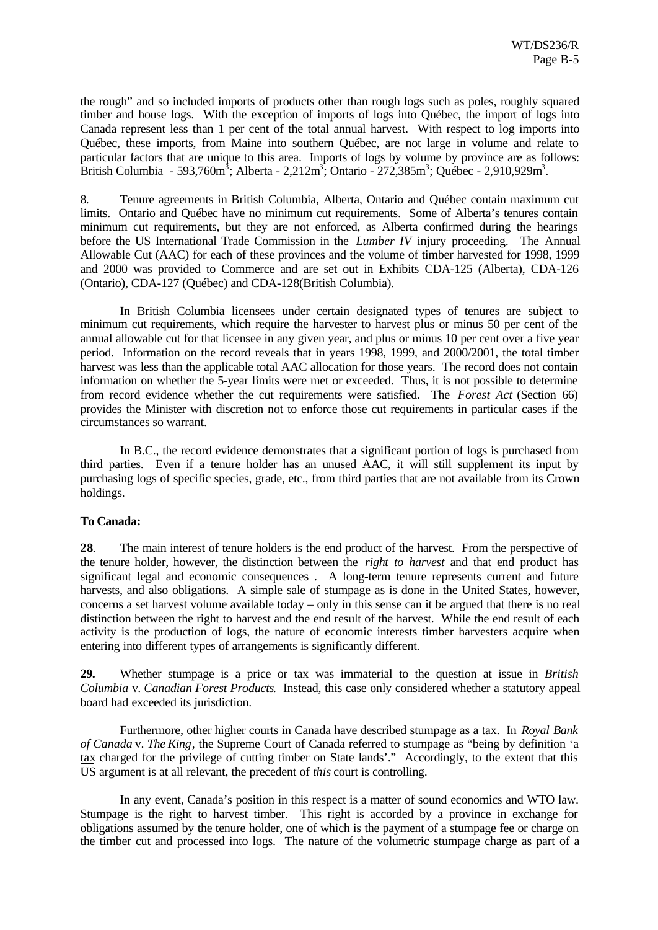the rough" and so included imports of products other than rough logs such as poles, roughly squared timber and house logs. With the exception of imports of logs into Québec, the import of logs into Canada represent less than 1 per cent of the total annual harvest. With respect to log imports into Québec, these imports, from Maine into southern Québec, are not large in volume and relate to particular factors that are unique to this area. Imports of logs by volume by province are as follows: British Columbia - 593,760m<sup>3</sup>; Alberta - 2,212m<sup>3</sup>; Ontario - 272,385m<sup>3</sup>; Québec - 2,910,929m<sup>3</sup>.

8. Tenure agreements in British Columbia, Alberta, Ontario and Québec contain maximum cut limits. Ontario and Québec have no minimum cut requirements. Some of Alberta's tenures contain minimum cut requirements, but they are not enforced, as Alberta confirmed during the hearings before the US International Trade Commission in the *Lumber IV* injury proceeding. The Annual Allowable Cut (AAC) for each of these provinces and the volume of timber harvested for 1998, 1999 and 2000 was provided to Commerce and are set out in Exhibits CDA-125 (Alberta), CDA-126 (Ontario), CDA-127 (Québec) and CDA-128(British Columbia).

In British Columbia licensees under certain designated types of tenures are subject to minimum cut requirements, which require the harvester to harvest plus or minus 50 per cent of the annual allowable cut for that licensee in any given year, and plus or minus 10 per cent over a five year period. Information on the record reveals that in years 1998, 1999, and 2000/2001, the total timber harvest was less than the applicable total AAC allocation for those years. The record does not contain information on whether the 5-year limits were met or exceeded. Thus, it is not possible to determine from record evidence whether the cut requirements were satisfied. The *Forest Act* (Section 66) provides the Minister with discretion not to enforce those cut requirements in particular cases if the circumstances so warrant.

In B.C., the record evidence demonstrates that a significant portion of logs is purchased from third parties. Even if a tenure holder has an unused AAC, it will still supplement its input by purchasing logs of specific species, grade, etc., from third parties that are not available from its Crown holdings.

#### **To Canada:**

**28**. The main interest of tenure holders is the end product of the harvest. From the perspective of the tenure holder, however, the distinction between the *right to harvest* and that end product has significant legal and economic consequences . A long-term tenure represents current and future harvests, and also obligations. A simple sale of stumpage as is done in the United States, however, concerns a set harvest volume available today – only in this sense can it be argued that there is no real distinction between the right to harvest and the end result of the harvest. While the end result of each activity is the production of logs, the nature of economic interests timber harvesters acquire when entering into different types of arrangements is significantly different.

**29.** Whether stumpage is a price or tax was immaterial to the question at issue in *British Columbia* v. *Canadian Forest Products*. Instead, this case only considered whether a statutory appeal board had exceeded its jurisdiction.

Furthermore, other higher courts in Canada have described stumpage as a tax. In *Royal Bank of Canada* v. *The King*, the Supreme Court of Canada referred to stumpage as "being by definition 'a tax charged for the privilege of cutting timber on State lands'." Accordingly, to the extent that this US argument is at all relevant, the precedent of *this* court is controlling.

In any event, Canada's position in this respect is a matter of sound economics and WTO law. Stumpage is the right to harvest timber. This right is accorded by a province in exchange for obligations assumed by the tenure holder, one of which is the payment of a stumpage fee or charge on the timber cut and processed into logs. The nature of the volumetric stumpage charge as part of a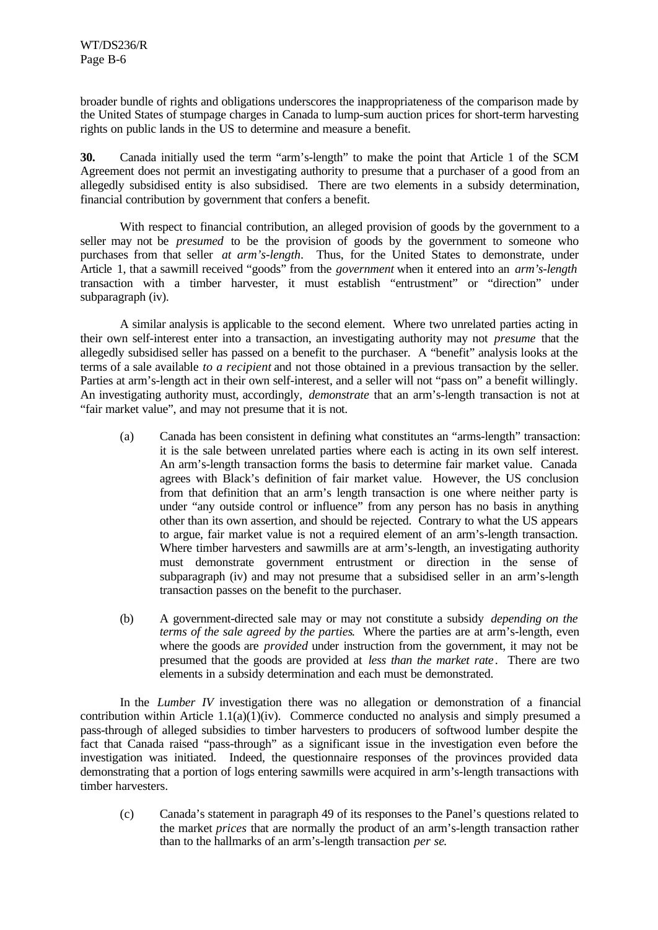broader bundle of rights and obligations underscores the inappropriateness of the comparison made by the United States of stumpage charges in Canada to lump-sum auction prices for short-term harvesting rights on public lands in the US to determine and measure a benefit.

**30.** Canada initially used the term "arm's-length" to make the point that Article 1 of the SCM Agreement does not permit an investigating authority to presume that a purchaser of a good from an allegedly subsidised entity is also subsidised. There are two elements in a subsidy determination, financial contribution by government that confers a benefit.

With respect to financial contribution, an alleged provision of goods by the government to a seller may not be *presumed* to be the provision of goods by the government to someone who purchases from that seller *at arm's-length*. Thus, for the United States to demonstrate, under Article 1, that a sawmill received "goods" from the *government* when it entered into an *arm's-length* transaction with a timber harvester, it must establish "entrustment" or "direction" under subparagraph (iv).

A similar analysis is applicable to the second element. Where two unrelated parties acting in their own self-interest enter into a transaction, an investigating authority may not *presume* that the allegedly subsidised seller has passed on a benefit to the purchaser. A "benefit" analysis looks at the terms of a sale available *to a recipient* and not those obtained in a previous transaction by the seller. Parties at arm's-length act in their own self-interest, and a seller will not "pass on" a benefit willingly. An investigating authority must, accordingly, *demonstrate* that an arm's-length transaction is not at "fair market value", and may not presume that it is not.

- (a) Canada has been consistent in defining what constitutes an "arms-length" transaction: it is the sale between unrelated parties where each is acting in its own self interest. An arm's-length transaction forms the basis to determine fair market value. Canada agrees with Black's definition of fair market value. However, the US conclusion from that definition that an arm's length transaction is one where neither party is under "any outside control or influence" from any person has no basis in anything other than its own assertion, and should be rejected. Contrary to what the US appears to argue, fair market value is not a required element of an arm's-length transaction. Where timber harvesters and sawmills are at arm's-length, an investigating authority must demonstrate government entrustment or direction in the sense of subparagraph (iv) and may not presume that a subsidised seller in an arm's-length transaction passes on the benefit to the purchaser.
- (b) A government-directed sale may or may not constitute a subsidy *depending on the terms of the sale agreed by the parties*. Where the parties are at arm's-length, even where the goods are *provided* under instruction from the government, it may not be presumed that the goods are provided at *less than the market rate* . There are two elements in a subsidy determination and each must be demonstrated.

In the *Lumber IV* investigation there was no allegation or demonstration of a financial contribution within Article 1.1(a)(1)(iv). Commerce conducted no analysis and simply presumed a pass-through of alleged subsidies to timber harvesters to producers of softwood lumber despite the fact that Canada raised "pass-through" as a significant issue in the investigation even before the investigation was initiated. Indeed, the questionnaire responses of the provinces provided data demonstrating that a portion of logs entering sawmills were acquired in arm's-length transactions with timber harvesters.

(c) Canada's statement in paragraph 49 of its responses to the Panel's questions related to the market *prices* that are normally the product of an arm's-length transaction rather than to the hallmarks of an arm's-length transaction *per se*.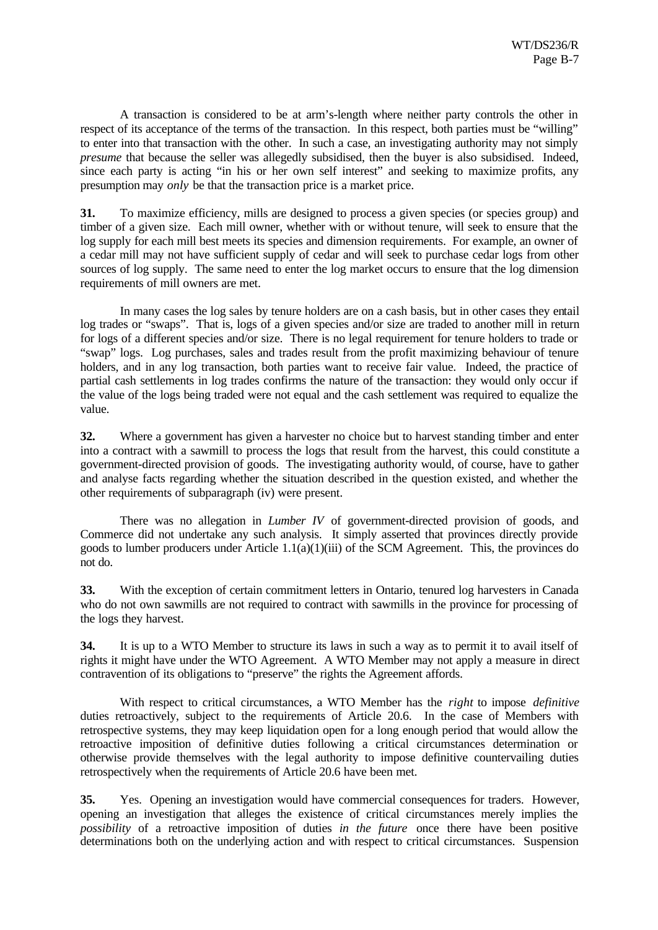A transaction is considered to be at arm's-length where neither party controls the other in respect of its acceptance of the terms of the transaction. In this respect, both parties must be "willing" to enter into that transaction with the other. In such a case, an investigating authority may not simply *presume* that because the seller was allegedly subsidised, then the buyer is also subsidised. Indeed, since each party is acting "in his or her own self interest" and seeking to maximize profits, any presumption may *only* be that the transaction price is a market price.

**31.** To maximize efficiency, mills are designed to process a given species (or species group) and timber of a given size. Each mill owner, whether with or without tenure, will seek to ensure that the log supply for each mill best meets its species and dimension requirements. For example, an owner of a cedar mill may not have sufficient supply of cedar and will seek to purchase cedar logs from other sources of log supply. The same need to enter the log market occurs to ensure that the log dimension requirements of mill owners are met.

In many cases the log sales by tenure holders are on a cash basis, but in other cases they entail log trades or "swaps". That is, logs of a given species and/or size are traded to another mill in return for logs of a different species and/or size. There is no legal requirement for tenure holders to trade or "swap" logs. Log purchases, sales and trades result from the profit maximizing behaviour of tenure holders, and in any log transaction, both parties want to receive fair value. Indeed, the practice of partial cash settlements in log trades confirms the nature of the transaction: they would only occur if the value of the logs being traded were not equal and the cash settlement was required to equalize the value.

**32.** Where a government has given a harvester no choice but to harvest standing timber and enter into a contract with a sawmill to process the logs that result from the harvest, this could constitute a government-directed provision of goods. The investigating authority would, of course, have to gather and analyse facts regarding whether the situation described in the question existed, and whether the other requirements of subparagraph (iv) were present.

There was no allegation in *Lumber IV* of government-directed provision of goods, and Commerce did not undertake any such analysis. It simply asserted that provinces directly provide goods to lumber producers under Article  $1.1(a)(1)(iii)$  of the SCM Agreement. This, the provinces do not do.

**33.** With the exception of certain commitment letters in Ontario, tenured log harvesters in Canada who do not own sawmills are not required to contract with sawmills in the province for processing of the logs they harvest.

**34.** It is up to a WTO Member to structure its laws in such a way as to permit it to avail itself of rights it might have under the WTO Agreement. A WTO Member may not apply a measure in direct contravention of its obligations to "preserve" the rights the Agreement affords.

With respect to critical circumstances, a WTO Member has the *right* to impose *definitive* duties retroactively, subject to the requirements of Article 20.6. In the case of Members with retrospective systems, they may keep liquidation open for a long enough period that would allow the retroactive imposition of definitive duties following a critical circumstances determination or otherwise provide themselves with the legal authority to impose definitive countervailing duties retrospectively when the requirements of Article 20.6 have been met.

**35.** Yes. Opening an investigation would have commercial consequences for traders. However, opening an investigation that alleges the existence of critical circumstances merely implies the *possibility* of a retroactive imposition of duties *in the future* once there have been positive determinations both on the underlying action and with respect to critical circumstances. Suspension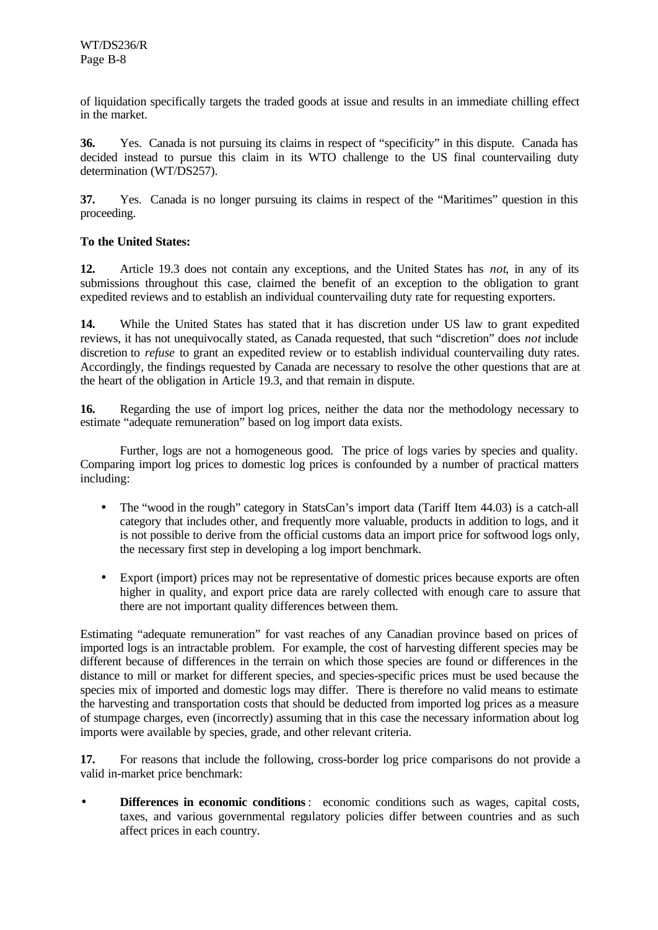of liquidation specifically targets the traded goods at issue and results in an immediate chilling effect in the market.

**36.** Yes. Canada is not pursuing its claims in respect of "specificity" in this dispute. Canada has decided instead to pursue this claim in its WTO challenge to the US final countervailing duty determination (WT/DS257).

**37.** Yes. Canada is no longer pursuing its claims in respect of the "Maritimes" question in this proceeding.

#### **To the United States:**

**12.** Article 19.3 does not contain any exceptions, and the United States has *not*, in any of its submissions throughout this case, claimed the benefit of an exception to the obligation to grant expedited reviews and to establish an individual countervailing duty rate for requesting exporters.

**14.** While the United States has stated that it has discretion under US law to grant expedited reviews, it has not unequivocally stated, as Canada requested, that such "discretion" does *not* include discretion to *refuse* to grant an expedited review or to establish individual countervailing duty rates. Accordingly, the findings requested by Canada are necessary to resolve the other questions that are at the heart of the obligation in Article 19.3, and that remain in dispute.

**16.** Regarding the use of import log prices, neither the data nor the methodology necessary to estimate "adequate remuneration" based on log import data exists.

Further, logs are not a homogeneous good. The price of logs varies by species and quality. Comparing import log prices to domestic log prices is confounded by a number of practical matters including:

- The "wood in the rough" category in StatsCan's import data (Tariff Item 44.03) is a catch-all category that includes other, and frequently more valuable, products in addition to logs, and it is not possible to derive from the official customs data an import price for softwood logs only, the necessary first step in developing a log import benchmark.
- Export (import) prices may not be representative of domestic prices because exports are often higher in quality, and export price data are rarely collected with enough care to assure that there are not important quality differences between them.

Estimating "adequate remuneration" for vast reaches of any Canadian province based on prices of imported logs is an intractable problem. For example, the cost of harvesting different species may be different because of differences in the terrain on which those species are found or differences in the distance to mill or market for different species, and species-specific prices must be used because the species mix of imported and domestic logs may differ. There is therefore no valid means to estimate the harvesting and transportation costs that should be deducted from imported log prices as a measure of stumpage charges, even (incorrectly) assuming that in this case the necessary information about log imports were available by species, grade, and other relevant criteria.

**17.** For reasons that include the following, cross-border log price comparisons do not provide a valid in-market price benchmark:

**Differences in economic conditions**: economic conditions such as wages, capital costs, taxes, and various governmental regulatory policies differ between countries and as such affect prices in each country.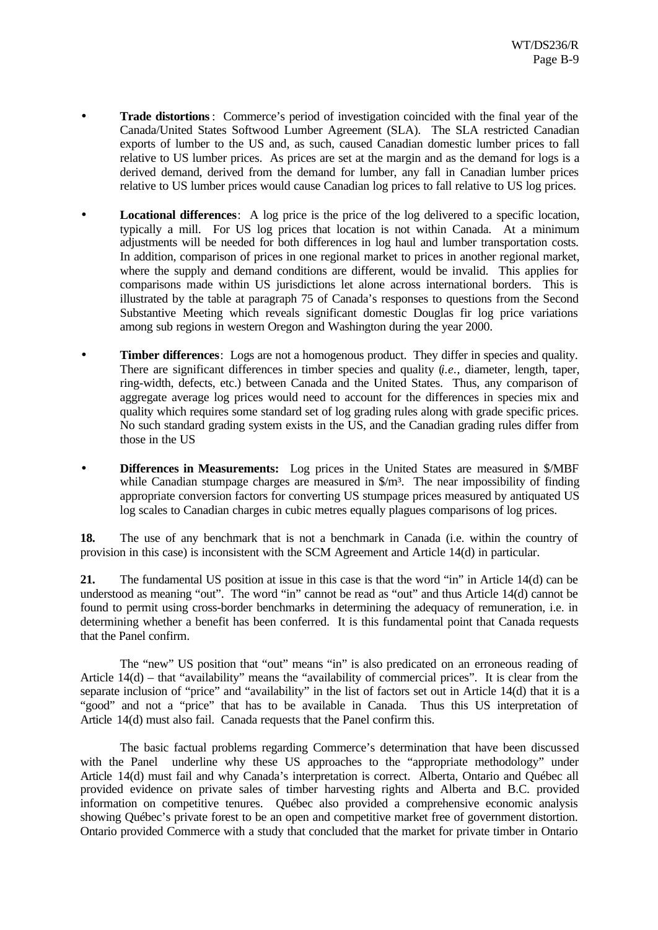- **Trade distortions**: Commerce's period of investigation coincided with the final year of the Canada/United States Softwood Lumber Agreement (SLA). The SLA restricted Canadian exports of lumber to the US and, as such, caused Canadian domestic lumber prices to fall relative to US lumber prices. As prices are set at the margin and as the demand for logs is a derived demand, derived from the demand for lumber, any fall in Canadian lumber prices relative to US lumber prices would cause Canadian log prices to fall relative to US log prices.
- **Locational differences**: A log price is the price of the log delivered to a specific location, typically a mill. For US log prices that location is not within Canada. At a minimum adjustments will be needed for both differences in log haul and lumber transportation costs. In addition, comparison of prices in one regional market to prices in another regional market, where the supply and demand conditions are different, would be invalid. This applies for comparisons made within US jurisdictions let alone across international borders. This is illustrated by the table at paragraph 75 of Canada's responses to questions from the Second Substantive Meeting which reveals significant domestic Douglas fir log price variations among sub regions in western Oregon and Washington during the year 2000.
- **Timber differences**: Logs are not a homogenous product. They differ in species and quality. There are significant differences in timber species and quality (*i.e.*, diameter, length, taper, ring-width, defects, etc.) between Canada and the United States. Thus, any comparison of aggregate average log prices would need to account for the differences in species mix and quality which requires some standard set of log grading rules along with grade specific prices. No such standard grading system exists in the US, and the Canadian grading rules differ from those in the US
- **Differences in Measurements:** Log prices in the United States are measured in \$/MBF while Canadian stumpage charges are measured in  $\gamma m^3$ . The near impossibility of finding appropriate conversion factors for converting US stumpage prices measured by antiquated US log scales to Canadian charges in cubic metres equally plagues comparisons of log prices.

**18.** The use of any benchmark that is not a benchmark in Canada (i.e. within the country of provision in this case) is inconsistent with the SCM Agreement and Article 14(d) in particular.

**21.** The fundamental US position at issue in this case is that the word "in" in Article 14(d) can be understood as meaning "out". The word "in" cannot be read as "out" and thus Article 14(d) cannot be found to permit using cross-border benchmarks in determining the adequacy of remuneration, i.e. in determining whether a benefit has been conferred. It is this fundamental point that Canada requests that the Panel confirm.

The "new" US position that "out" means "in" is also predicated on an erroneous reading of Article 14(d) – that "availability" means the "availability of commercial prices". It is clear from the separate inclusion of "price" and "availability" in the list of factors set out in Article 14(d) that it is a "good" and not a "price" that has to be available in Canada. Thus this US interpretation of Article 14(d) must also fail. Canada requests that the Panel confirm this.

The basic factual problems regarding Commerce's determination that have been discussed with the Panel underline why these US approaches to the "appropriate methodology" under Article 14(d) must fail and why Canada's interpretation is correct. Alberta, Ontario and Québec all provided evidence on private sales of timber harvesting rights and Alberta and B.C. provided information on competitive tenures. Québec also provided a comprehensive economic analysis showing Québec's private forest to be an open and competitive market free of government distortion. Ontario provided Commerce with a study that concluded that the market for private timber in Ontario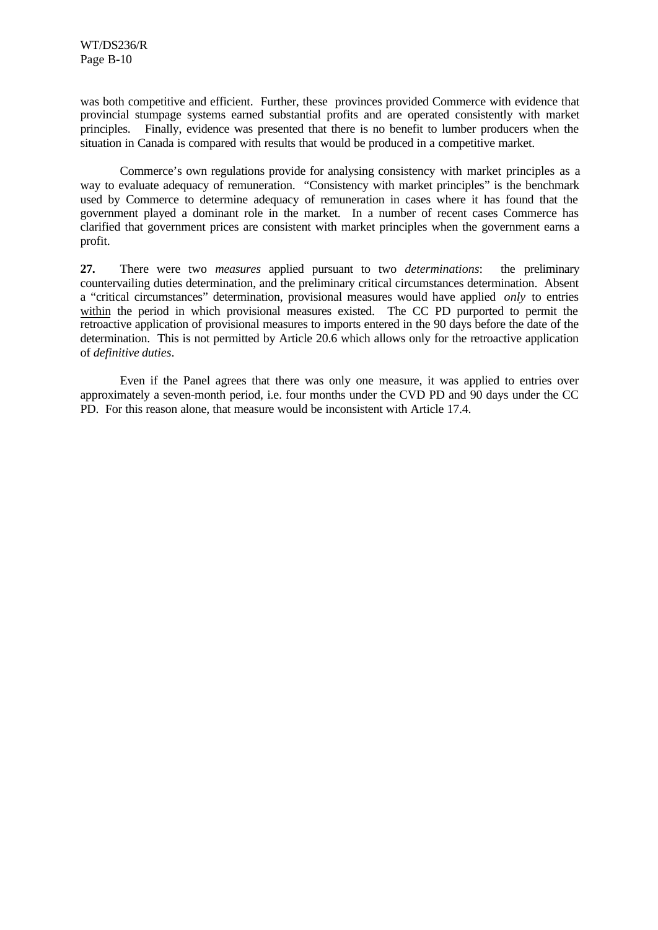was both competitive and efficient. Further, these provinces provided Commerce with evidence that provincial stumpage systems earned substantial profits and are operated consistently with market principles. Finally, evidence was presented that there is no benefit to lumber producers when the situation in Canada is compared with results that would be produced in a competitive market.

Commerce's own regulations provide for analysing consistency with market principles as a way to evaluate adequacy of remuneration. "Consistency with market principles" is the benchmark used by Commerce to determine adequacy of remuneration in cases where it has found that the government played a dominant role in the market. In a number of recent cases Commerce has clarified that government prices are consistent with market principles when the government earns a profit.

**27.** There were two *measures* applied pursuant to two *determinations*: the preliminary countervailing duties determination, and the preliminary critical circumstances determination. Absent a "critical circumstances" determination, provisional measures would have applied *only* to entries within the period in which provisional measures existed. The CC PD purported to permit the retroactive application of provisional measures to imports entered in the 90 days before the date of the determination. This is not permitted by Article 20.6 which allows only for the retroactive application of *definitive duties*.

Even if the Panel agrees that there was only one measure, it was applied to entries over approximately a seven-month period, i.e. four months under the CVD PD and 90 days under the CC PD. For this reason alone, that measure would be inconsistent with Article 17.4.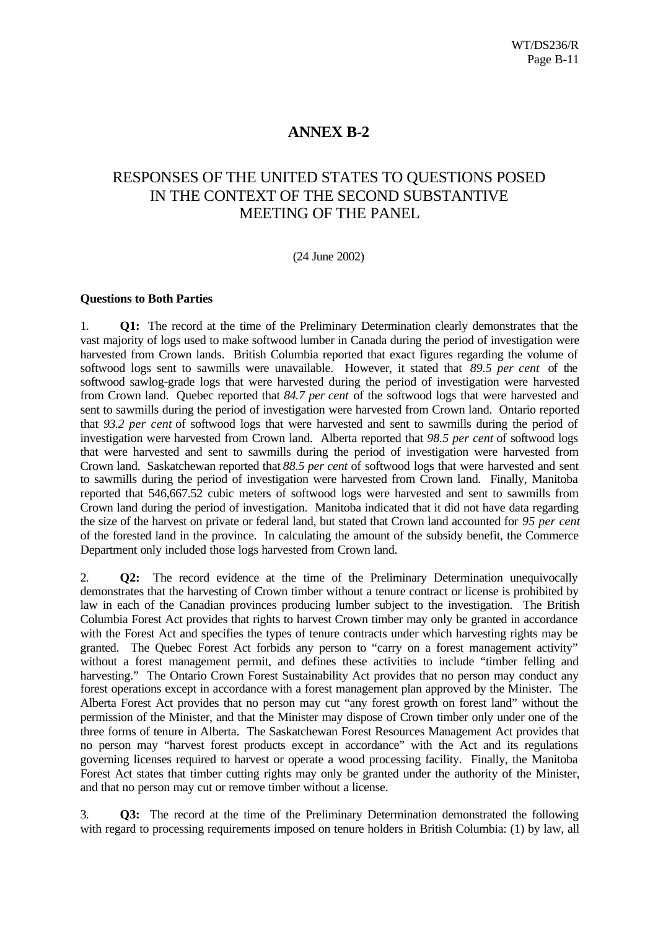### **ANNEX B-2**

# RESPONSES OF THE UNITED STATES TO QUESTIONS POSED IN THE CONTEXT OF THE SECOND SUBSTANTIVE MEETING OF THE PANEL

#### (24 June 2002)

#### **Questions to Both Parties**

1. **Q1:** The record at the time of the Preliminary Determination clearly demonstrates that the vast majority of logs used to make softwood lumber in Canada during the period of investigation were harvested from Crown lands. British Columbia reported that exact figures regarding the volume of softwood logs sent to sawmills were unavailable. However, it stated that *89.5 per cent* of the softwood sawlog-grade logs that were harvested during the period of investigation were harvested from Crown land. Quebec reported that *84.7 per cent* of the softwood logs that were harvested and sent to sawmills during the period of investigation were harvested from Crown land. Ontario reported that *93.2 per cent* of softwood logs that were harvested and sent to sawmills during the period of investigation were harvested from Crown land. Alberta reported that *98.5 per cent* of softwood logs that were harvested and sent to sawmills during the period of investigation were harvested from Crown land. Saskatchewan reported that *88.5 per cent* of softwood logs that were harvested and sent to sawmills during the period of investigation were harvested from Crown land. Finally, Manitoba reported that 546,667.52 cubic meters of softwood logs were harvested and sent to sawmills from Crown land during the period of investigation. Manitoba indicated that it did not have data regarding the size of the harvest on private or federal land, but stated that Crown land accounted for *95 per cent* of the forested land in the province. In calculating the amount of the subsidy benefit, the Commerce Department only included those logs harvested from Crown land.

2. **Q2:** The record evidence at the time of the Preliminary Determination unequivocally demonstrates that the harvesting of Crown timber without a tenure contract or license is prohibited by law in each of the Canadian provinces producing lumber subject to the investigation. The British Columbia Forest Act provides that rights to harvest Crown timber may only be granted in accordance with the Forest Act and specifies the types of tenure contracts under which harvesting rights may be granted. The Quebec Forest Act forbids any person to "carry on a forest management activity" without a forest management permit, and defines these activities to include "timber felling and harvesting." The Ontario Crown Forest Sustainability Act provides that no person may conduct any forest operations except in accordance with a forest management plan approved by the Minister. The Alberta Forest Act provides that no person may cut "any forest growth on forest land" without the permission of the Minister, and that the Minister may dispose of Crown timber only under one of the three forms of tenure in Alberta. The Saskatchewan Forest Resources Management Act provides that no person may "harvest forest products except in accordance" with the Act and its regulations governing licenses required to harvest or operate a wood processing facility. Finally, the Manitoba Forest Act states that timber cutting rights may only be granted under the authority of the Minister, and that no person may cut or remove timber without a license.

3. **Q3:** The record at the time of the Preliminary Determination demonstrated the following with regard to processing requirements imposed on tenure holders in British Columbia: (1) by law, all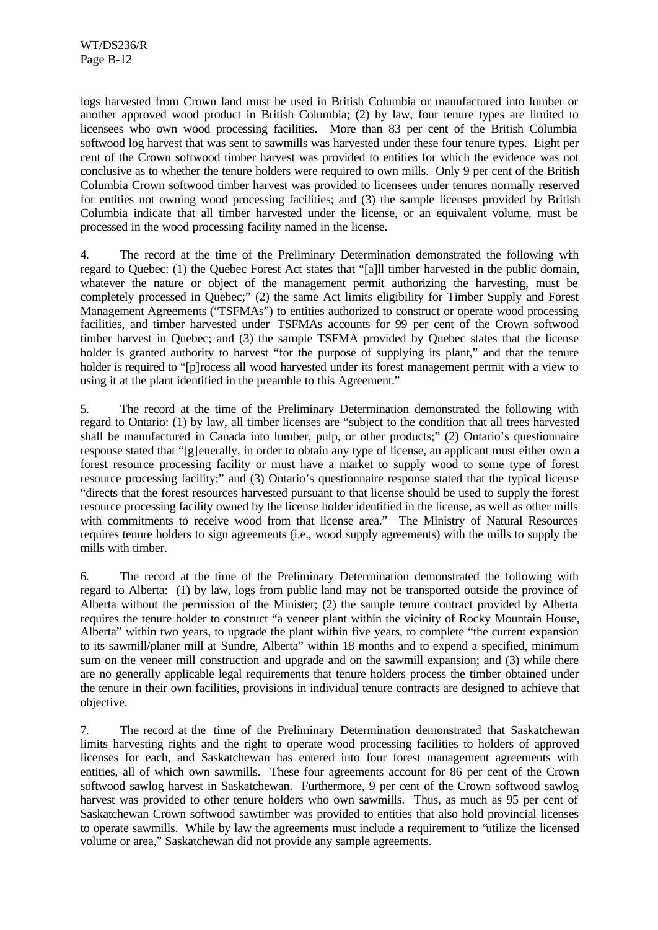logs harvested from Crown land must be used in British Columbia or manufactured into lumber or another approved wood product in British Columbia; (2) by law, four tenure types are limited to licensees who own wood processing facilities. More than 83 per cent of the British Columbia softwood log harvest that was sent to sawmills was harvested under these four tenure types. Eight per cent of the Crown softwood timber harvest was provided to entities for which the evidence was not conclusive as to whether the tenure holders were required to own mills. Only 9 per cent of the British Columbia Crown softwood timber harvest was provided to licensees under tenures normally reserved for entities not owning wood processing facilities; and (3) the sample licenses provided by British Columbia indicate that all timber harvested under the license, or an equivalent volume, must be processed in the wood processing facility named in the license.

4. The record at the time of the Preliminary Determination demonstrated the following with regard to Quebec: (1) the Quebec Forest Act states that "[a]ll timber harvested in the public domain, whatever the nature or object of the management permit authorizing the harvesting, must be completely processed in Quebec;" (2) the same Act limits eligibility for Timber Supply and Forest Management Agreements ("TSFMAs") to entities authorized to construct or operate wood processing facilities, and timber harvested under TSFMAs accounts for 99 per cent of the Crown softwood timber harvest in Quebec; and (3) the sample TSFMA provided by Quebec states that the license holder is granted authority to harvest "for the purpose of supplying its plant," and that the tenure holder is required to "[p]rocess all wood harvested under its forest management permit with a view to using it at the plant identified in the preamble to this Agreement."

5. The record at the time of the Preliminary Determination demonstrated the following with regard to Ontario: (1) by law, all timber licenses are "subject to the condition that all trees harvested shall be manufactured in Canada into lumber, pulp, or other products;" (2) Ontario's questionnaire response stated that "[g]enerally, in order to obtain any type of license, an applicant must either own a forest resource processing facility or must have a market to supply wood to some type of forest resource processing facility;" and (3) Ontario's questionnaire response stated that the typical license "directs that the forest resources harvested pursuant to that license should be used to supply the forest resource processing facility owned by the license holder identified in the license, as well as other mills with commitments to receive wood from that license area." The Ministry of Natural Resources requires tenure holders to sign agreements (i.e., wood supply agreements) with the mills to supply the mills with timber.

6. The record at the time of the Preliminary Determination demonstrated the following with regard to Alberta: (1) by law, logs from public land may not be transported outside the province of Alberta without the permission of the Minister; (2) the sample tenure contract provided by Alberta requires the tenure holder to construct "a veneer plant within the vicinity of Rocky Mountain House, Alberta" within two years, to upgrade the plant within five years, to complete "the current expansion to its sawmill/planer mill at Sundre, Alberta" within 18 months and to expend a specified, minimum sum on the veneer mill construction and upgrade and on the sawmill expansion; and (3) while there are no generally applicable legal requirements that tenure holders process the timber obtained under the tenure in their own facilities, provisions in individual tenure contracts are designed to achieve that objective.

7. The record at the time of the Preliminary Determination demonstrated that Saskatchewan limits harvesting rights and the right to operate wood processing facilities to holders of approved licenses for each, and Saskatchewan has entered into four forest management agreements with entities, all of which own sawmills. These four agreements account for 86 per cent of the Crown softwood sawlog harvest in Saskatchewan. Furthermore, 9 per cent of the Crown softwood sawlog harvest was provided to other tenure holders who own sawmills. Thus, as much as 95 per cent of Saskatchewan Crown softwood sawtimber was provided to entities that also hold provincial licenses to operate sawmills. While by law the agreements must include a requirement to "utilize the licensed volume or area," Saskatchewan did not provide any sample agreements.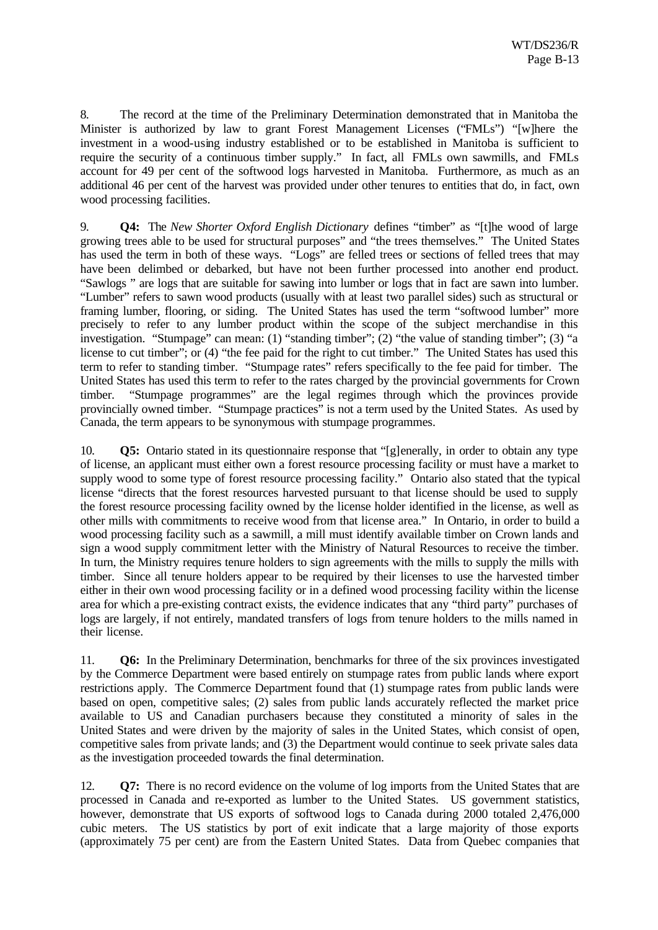8. The record at the time of the Preliminary Determination demonstrated that in Manitoba the Minister is authorized by law to grant Forest Management Licenses ("FMLs") "[w]here the investment in a wood-using industry established or to be established in Manitoba is sufficient to require the security of a continuous timber supply." In fact, all FMLs own sawmills, and FMLs account for 49 per cent of the softwood logs harvested in Manitoba. Furthermore, as much as an additional 46 per cent of the harvest was provided under other tenures to entities that do, in fact, own wood processing facilities.

9. **Q4:** The *New Shorter Oxford English Dictionary* defines "timber" as "[t]he wood of large growing trees able to be used for structural purposes" and "the trees themselves." The United States has used the term in both of these ways. "Logs" are felled trees or sections of felled trees that may have been delimbed or debarked, but have not been further processed into another end product. "Sawlogs " are logs that are suitable for sawing into lumber or logs that in fact are sawn into lumber. "Lumber" refers to sawn wood products (usually with at least two parallel sides) such as structural or framing lumber, flooring, or siding. The United States has used the term "softwood lumber" more precisely to refer to any lumber product within the scope of the subject merchandise in this investigation. "Stumpage" can mean: (1) "standing timber"; (2) "the value of standing timber"; (3) "a license to cut timber"; or (4) "the fee paid for the right to cut timber." The United States has used this term to refer to standing timber. "Stumpage rates" refers specifically to the fee paid for timber. The United States has used this term to refer to the rates charged by the provincial governments for Crown timber. "Stumpage programmes" are the legal regimes through which the provinces provide provincially owned timber. "Stumpage practices" is not a term used by the United States. As used by Canada, the term appears to be synonymous with stumpage programmes.

10. **Q5:** Ontario stated in its questionnaire response that "[g]enerally, in order to obtain any type of license, an applicant must either own a forest resource processing facility or must have a market to supply wood to some type of forest resource processing facility." Ontario also stated that the typical license "directs that the forest resources harvested pursuant to that license should be used to supply the forest resource processing facility owned by the license holder identified in the license, as well as other mills with commitments to receive wood from that license area." In Ontario, in order to build a wood processing facility such as a sawmill, a mill must identify available timber on Crown lands and sign a wood supply commitment letter with the Ministry of Natural Resources to receive the timber. In turn, the Ministry requires tenure holders to sign agreements with the mills to supply the mills with timber. Since all tenure holders appear to be required by their licenses to use the harvested timber either in their own wood processing facility or in a defined wood processing facility within the license area for which a pre-existing contract exists, the evidence indicates that any "third party" purchases of logs are largely, if not entirely, mandated transfers of logs from tenure holders to the mills named in their license.

11. **Q6:** In the Preliminary Determination, benchmarks for three of the six provinces investigated by the Commerce Department were based entirely on stumpage rates from public lands where export restrictions apply. The Commerce Department found that (1) stumpage rates from public lands were based on open, competitive sales; (2) sales from public lands accurately reflected the market price available to US and Canadian purchasers because they constituted a minority of sales in the United States and were driven by the majority of sales in the United States, which consist of open, competitive sales from private lands; and (3) the Department would continue to seek private sales data as the investigation proceeded towards the final determination.

12. **Q7:** There is no record evidence on the volume of log imports from the United States that are processed in Canada and re-exported as lumber to the United States. US government statistics, however, demonstrate that US exports of softwood logs to Canada during 2000 totaled 2,476,000 cubic meters. The US statistics by port of exit indicate that a large majority of those exports (approximately 75 per cent) are from the Eastern United States. Data from Quebec companies that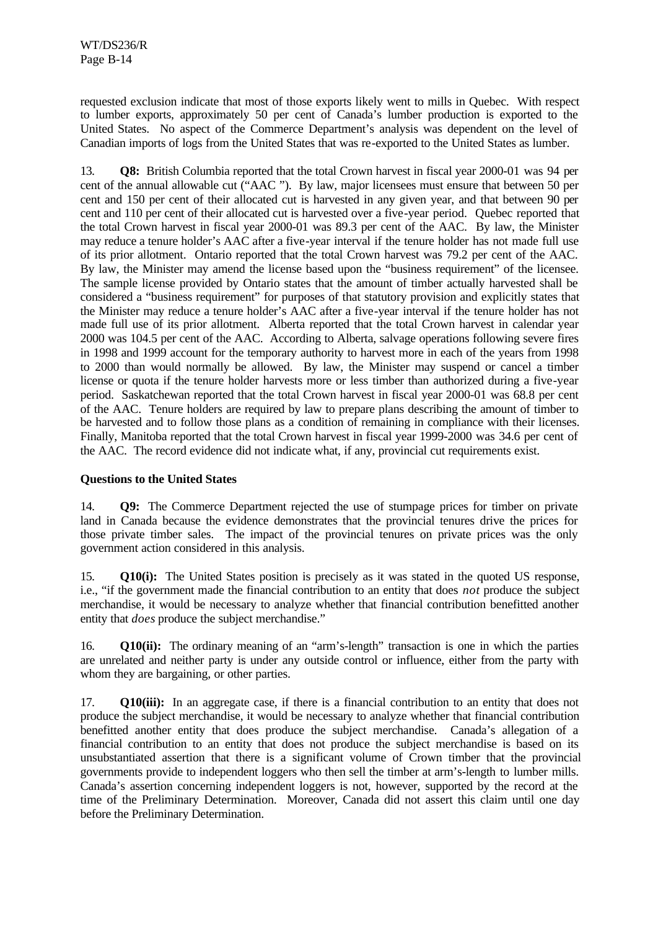requested exclusion indicate that most of those exports likely went to mills in Quebec. With respect to lumber exports, approximately 50 per cent of Canada's lumber production is exported to the United States. No aspect of the Commerce Department's analysis was dependent on the level of Canadian imports of logs from the United States that was re-exported to the United States as lumber.

13. **Q8:** British Columbia reported that the total Crown harvest in fiscal year 2000-01 was 94 per cent of the annual allowable cut ("AAC "). By law, major licensees must ensure that between 50 per cent and 150 per cent of their allocated cut is harvested in any given year, and that between 90 per cent and 110 per cent of their allocated cut is harvested over a five-year period. Quebec reported that the total Crown harvest in fiscal year 2000-01 was 89.3 per cent of the AAC. By law, the Minister may reduce a tenure holder's AAC after a five-year interval if the tenure holder has not made full use of its prior allotment. Ontario reported that the total Crown harvest was 79.2 per cent of the AAC. By law, the Minister may amend the license based upon the "business requirement" of the licensee. The sample license provided by Ontario states that the amount of timber actually harvested shall be considered a "business requirement" for purposes of that statutory provision and explicitly states that the Minister may reduce a tenure holder's AAC after a five-year interval if the tenure holder has not made full use of its prior allotment. Alberta reported that the total Crown harvest in calendar year 2000 was 104.5 per cent of the AAC. According to Alberta, salvage operations following severe fires in 1998 and 1999 account for the temporary authority to harvest more in each of the years from 1998 to 2000 than would normally be allowed. By law, the Minister may suspend or cancel a timber license or quota if the tenure holder harvests more or less timber than authorized during a five-year period. Saskatchewan reported that the total Crown harvest in fiscal year 2000-01 was 68.8 per cent of the AAC. Tenure holders are required by law to prepare plans describing the amount of timber to be harvested and to follow those plans as a condition of remaining in compliance with their licenses. Finally, Manitoba reported that the total Crown harvest in fiscal year 1999-2000 was 34.6 per cent of the AAC. The record evidence did not indicate what, if any, provincial cut requirements exist.

#### **Questions to the United States**

14. **Q9:** The Commerce Department rejected the use of stumpage prices for timber on private land in Canada because the evidence demonstrates that the provincial tenures drive the prices for those private timber sales. The impact of the provincial tenures on private prices was the only government action considered in this analysis.

15. **Q10(i):** The United States position is precisely as it was stated in the quoted US response, i.e., "if the government made the financial contribution to an entity that does *not* produce the subject merchandise, it would be necessary to analyze whether that financial contribution benefitted another entity that *does* produce the subject merchandise."

16. **Q10(ii):** The ordinary meaning of an "arm's-length" transaction is one in which the parties are unrelated and neither party is under any outside control or influence, either from the party with whom they are bargaining, or other parties.

17. **Q10(iii):** In an aggregate case, if there is a financial contribution to an entity that does not produce the subject merchandise, it would be necessary to analyze whether that financial contribution benefitted another entity that does produce the subject merchandise. Canada's allegation of a financial contribution to an entity that does not produce the subject merchandise is based on its unsubstantiated assertion that there is a significant volume of Crown timber that the provincial governments provide to independent loggers who then sell the timber at arm's-length to lumber mills. Canada's assertion concerning independent loggers is not, however, supported by the record at the time of the Preliminary Determination. Moreover, Canada did not assert this claim until one day before the Preliminary Determination.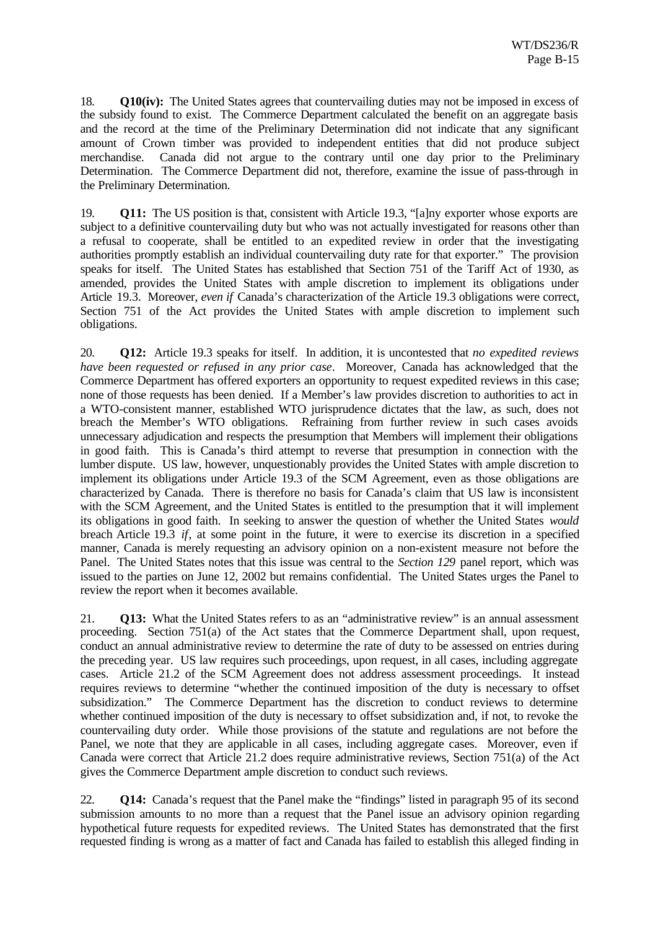18. **Q10(iv):** The United States agrees that countervailing duties may not be imposed in excess of the subsidy found to exist. The Commerce Department calculated the benefit on an aggregate basis and the record at the time of the Preliminary Determination did not indicate that any significant amount of Crown timber was provided to independent entities that did not produce subject merchandise. Canada did not argue to the contrary until one day prior to the Preliminary Determination. The Commerce Department did not, therefore, examine the issue of pass-through in the Preliminary Determination.

19. **Q11:** The US position is that, consistent with Article 19.3, "[a]ny exporter whose exports are subject to a definitive countervailing duty but who was not actually investigated for reasons other than a refusal to cooperate, shall be entitled to an expedited review in order that the investigating authorities promptly establish an individual countervailing duty rate for that exporter." The provision speaks for itself. The United States has established that Section 751 of the Tariff Act of 1930, as amended, provides the United States with ample discretion to implement its obligations under Article 19.3. Moreover, *even if* Canada's characterization of the Article 19.3 obligations were correct, Section 751 of the Act provides the United States with ample discretion to implement such obligations.

20. **Q12:** Article 19.3 speaks for itself. In addition, it is uncontested that *no expedited reviews have been requested or refused in any prior case*. Moreover, Canada has acknowledged that the Commerce Department has offered exporters an opportunity to request expedited reviews in this case; none of those requests has been denied. If a Member's law provides discretion to authorities to act in a WTO-consistent manner, established WTO jurisprudence dictates that the law, as such, does not breach the Member's WTO obligations. Refraining from further review in such cases avoids unnecessary adjudication and respects the presumption that Members will implement their obligations in good faith. This is Canada's third attempt to reverse that presumption in connection with the lumber dispute. US law, however, unquestionably provides the United States with ample discretion to implement its obligations under Article 19.3 of the SCM Agreement, even as those obligations are characterized by Canada. There is therefore no basis for Canada's claim that US law is inconsistent with the SCM Agreement, and the United States is entitled to the presumption that it will implement its obligations in good faith. In seeking to answer the question of whether the United States *would* breach Article 19.3 *if*, at some point in the future, it were to exercise its discretion in a specified manner, Canada is merely requesting an advisory opinion on a non-existent measure not before the Panel. The United States notes that this issue was central to the *Section 129* panel report, which was issued to the parties on June 12, 2002 but remains confidential. The United States urges the Panel to review the report when it becomes available.

21. **Q13:** What the United States refers to as an "administrative review" is an annual assessment proceeding. Section 751(a) of the Act states that the Commerce Department shall, upon request, conduct an annual administrative review to determine the rate of duty to be assessed on entries during the preceding year. US law requires such proceedings, upon request, in all cases, including aggregate cases. Article 21.2 of the SCM Agreement does not address assessment proceedings. It instead requires reviews to determine "whether the continued imposition of the duty is necessary to offset subsidization." The Commerce Department has the discretion to conduct reviews to determine whether continued imposition of the duty is necessary to offset subsidization and, if not, to revoke the countervailing duty order. While those provisions of the statute and regulations are not before the Panel, we note that they are applicable in all cases, including aggregate cases. Moreover, even if Canada were correct that Article 21.2 does require administrative reviews, Section 751(a) of the Act gives the Commerce Department ample discretion to conduct such reviews.

22. **Q14:** Canada's request that the Panel make the "findings" listed in paragraph 95 of its second submission amounts to no more than a request that the Panel issue an advisory opinion regarding hypothetical future requests for expedited reviews. The United States has demonstrated that the first requested finding is wrong as a matter of fact and Canada has failed to establish this alleged finding in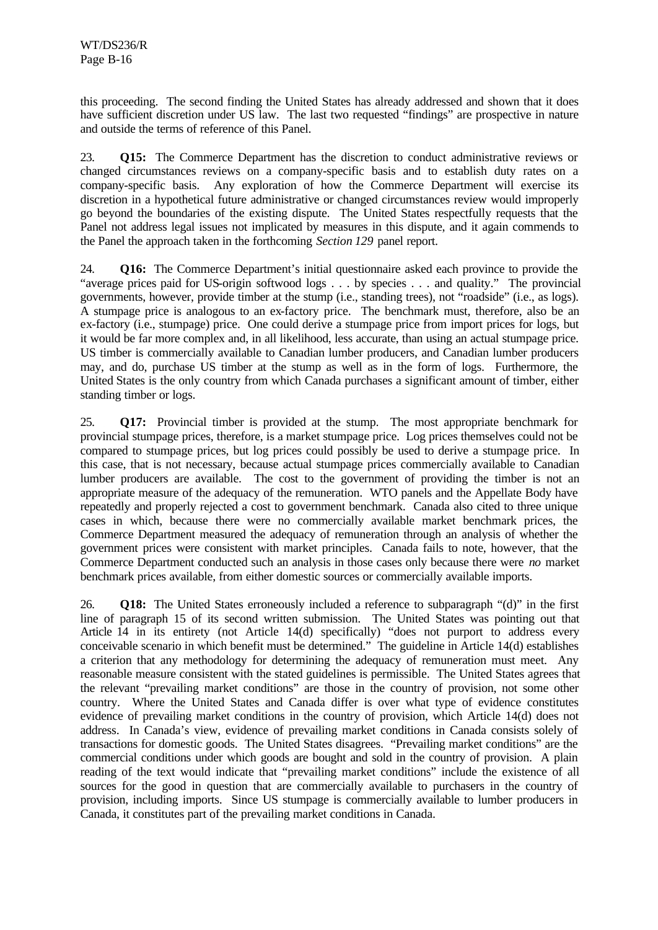this proceeding. The second finding the United States has already addressed and shown that it does have sufficient discretion under US law. The last two requested "findings" are prospective in nature and outside the terms of reference of this Panel.

23. **Q15:** The Commerce Department has the discretion to conduct administrative reviews or changed circumstances reviews on a company-specific basis and to establish duty rates on a company-specific basis. Any exploration of how the Commerce Department will exercise its discretion in a hypothetical future administrative or changed circumstances review would improperly go beyond the boundaries of the existing dispute. The United States respectfully requests that the Panel not address legal issues not implicated by measures in this dispute, and it again commends to the Panel the approach taken in the forthcoming *Section 129* panel report.

24. **Q16:** The Commerce Department's initial questionnaire asked each province to provide the "average prices paid for US-origin softwood logs . . . by species . . . and quality." The provincial governments, however, provide timber at the stump (i.e., standing trees), not "roadside" (i.e., as logs). A stumpage price is analogous to an ex-factory price. The benchmark must, therefore, also be an ex-factory (i.e., stumpage) price. One could derive a stumpage price from import prices for logs, but it would be far more complex and, in all likelihood, less accurate, than using an actual stumpage price. US timber is commercially available to Canadian lumber producers, and Canadian lumber producers may, and do, purchase US timber at the stump as well as in the form of logs. Furthermore, the United States is the only country from which Canada purchases a significant amount of timber, either standing timber or logs.

25. **Q17:** Provincial timber is provided at the stump. The most appropriate benchmark for provincial stumpage prices, therefore, is a market stumpage price. Log prices themselves could not be compared to stumpage prices, but log prices could possibly be used to derive a stumpage price. In this case, that is not necessary, because actual stumpage prices commercially available to Canadian lumber producers are available. The cost to the government of providing the timber is not an appropriate measure of the adequacy of the remuneration. WTO panels and the Appellate Body have repeatedly and properly rejected a cost to government benchmark. Canada also cited to three unique cases in which, because there were no commercially available market benchmark prices, the Commerce Department measured the adequacy of remuneration through an analysis of whether the government prices were consistent with market principles. Canada fails to note, however, that the Commerce Department conducted such an analysis in those cases only because there were *no* market benchmark prices available, from either domestic sources or commercially available imports.

26. **Q18:** The United States erroneously included a reference to subparagraph "(d)" in the first line of paragraph 15 of its second written submission. The United States was pointing out that Article 14 in its entirety (not Article 14(d) specifically) "does not purport to address every conceivable scenario in which benefit must be determined." The guideline in Article 14(d) establishes a criterion that any methodology for determining the adequacy of remuneration must meet. Any reasonable measure consistent with the stated guidelines is permissible. The United States agrees that the relevant "prevailing market conditions" are those in the country of provision, not some other country. Where the United States and Canada differ is over what type of evidence constitutes evidence of prevailing market conditions in the country of provision, which Article 14(d) does not address. In Canada's view, evidence of prevailing market conditions in Canada consists solely of transactions for domestic goods. The United States disagrees. "Prevailing market conditions" are the commercial conditions under which goods are bought and sold in the country of provision. A plain reading of the text would indicate that "prevailing market conditions" include the existence of all sources for the good in question that are commercially available to purchasers in the country of provision, including imports. Since US stumpage is commercially available to lumber producers in Canada, it constitutes part of the prevailing market conditions in Canada.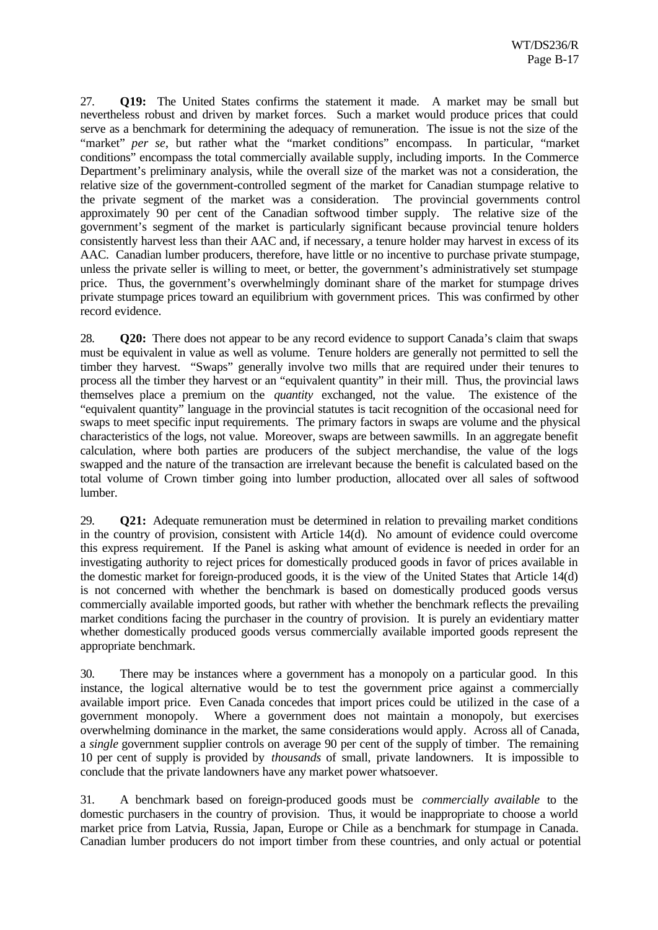27. **Q19:** The United States confirms the statement it made. A market may be small but nevertheless robust and driven by market forces. Such a market would produce prices that could serve as a benchmark for determining the adequacy of remuneration. The issue is not the size of the "market" *per se*, but rather what the "market conditions" encompass. In particular, "market conditions" encompass the total commercially available supply, including imports. In the Commerce Department's preliminary analysis, while the overall size of the market was not a consideration, the relative size of the government-controlled segment of the market for Canadian stumpage relative to the private segment of the market was a consideration. The provincial governments control approximately 90 per cent of the Canadian softwood timber supply. The relative size of the government's segment of the market is particularly significant because provincial tenure holders consistently harvest less than their AAC and, if necessary, a tenure holder may harvest in excess of its AAC. Canadian lumber producers, therefore, have little or no incentive to purchase private stumpage, unless the private seller is willing to meet, or better, the government's administratively set stumpage price. Thus, the government's overwhelmingly dominant share of the market for stumpage drives private stumpage prices toward an equilibrium with government prices. This was confirmed by other record evidence.

28. **Q20:** There does not appear to be any record evidence to support Canada's claim that swaps must be equivalent in value as well as volume. Tenure holders are generally not permitted to sell the timber they harvest. "Swaps" generally involve two mills that are required under their tenures to process all the timber they harvest or an "equivalent quantity" in their mill. Thus, the provincial laws themselves place a premium on the *quantity* exchanged, not the value. The existence of the "equivalent quantity" language in the provincial statutes is tacit recognition of the occasional need for swaps to meet specific input requirements. The primary factors in swaps are volume and the physical characteristics of the logs, not value. Moreover, swaps are between sawmills. In an aggregate benefit calculation, where both parties are producers of the subject merchandise, the value of the logs swapped and the nature of the transaction are irrelevant because the benefit is calculated based on the total volume of Crown timber going into lumber production, allocated over all sales of softwood lumber.

29. **Q21:** Adequate remuneration must be determined in relation to prevailing market conditions in the country of provision, consistent with Article 14(d). No amount of evidence could overcome this express requirement. If the Panel is asking what amount of evidence is needed in order for an investigating authority to reject prices for domestically produced goods in favor of prices available in the domestic market for foreign-produced goods, it is the view of the United States that Article 14(d) is not concerned with whether the benchmark is based on domestically produced goods versus commercially available imported goods, but rather with whether the benchmark reflects the prevailing market conditions facing the purchaser in the country of provision. It is purely an evidentiary matter whether domestically produced goods versus commercially available imported goods represent the appropriate benchmark.

30. There may be instances where a government has a monopoly on a particular good. In this instance, the logical alternative would be to test the government price against a commercially available import price. Even Canada concedes that import prices could be utilized in the case of a government monopoly. Where a government does not maintain a monopoly, but exercises overwhelming dominance in the market, the same considerations would apply. Across all of Canada, a *single* government supplier controls on average 90 per cent of the supply of timber. The remaining 10 per cent of supply is provided by *thousands* of small, private landowners. It is impossible to conclude that the private landowners have any market power whatsoever.

31. A benchmark based on foreign-produced goods must be *commercially available* to the domestic purchasers in the country of provision. Thus, it would be inappropriate to choose a world market price from Latvia, Russia, Japan, Europe or Chile as a benchmark for stumpage in Canada. Canadian lumber producers do not import timber from these countries, and only actual or potential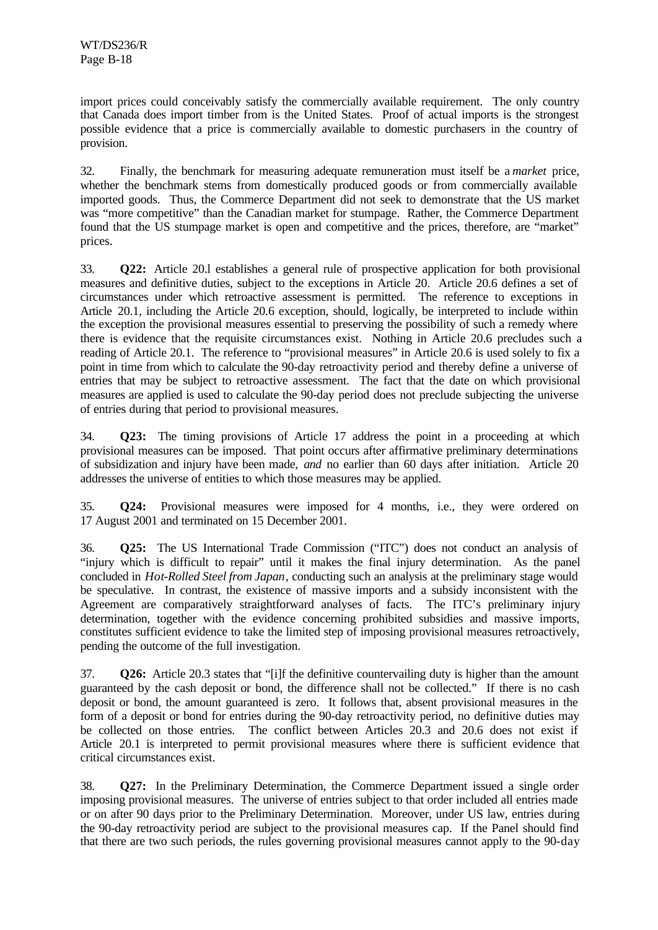import prices could conceivably satisfy the commercially available requirement. The only country that Canada does import timber from is the United States. Proof of actual imports is the strongest possible evidence that a price is commercially available to domestic purchasers in the country of provision.

32. Finally, the benchmark for measuring adequate remuneration must itself be a *market* price, whether the benchmark stems from domestically produced goods or from commercially available imported goods. Thus, the Commerce Department did not seek to demonstrate that the US market was "more competitive" than the Canadian market for stumpage. Rather, the Commerce Department found that the US stumpage market is open and competitive and the prices, therefore, are "market" prices.

33. **Q22:** Article 20.l establishes a general rule of prospective application for both provisional measures and definitive duties, subject to the exceptions in Article 20. Article 20.6 defines a set of circumstances under which retroactive assessment is permitted. The reference to exceptions in Article 20.1, including the Article 20.6 exception, should, logically, be interpreted to include within the exception the provisional measures essential to preserving the possibility of such a remedy where there is evidence that the requisite circumstances exist. Nothing in Article 20.6 precludes such a reading of Article 20.1. The reference to "provisional measures" in Article 20.6 is used solely to fix a point in time from which to calculate the 90-day retroactivity period and thereby define a universe of entries that may be subject to retroactive assessment. The fact that the date on which provisional measures are applied is used to calculate the 90-day period does not preclude subjecting the universe of entries during that period to provisional measures.

34. **Q23:** The timing provisions of Article 17 address the point in a proceeding at which provisional measures can be imposed. That point occurs after affirmative preliminary determinations of subsidization and injury have been made, *and* no earlier than 60 days after initiation. Article 20 addresses the universe of entities to which those measures may be applied.

35. **Q24:** Provisional measures were imposed for 4 months, i.e., they were ordered on 17 August 2001 and terminated on 15 December 2001.

36. **Q25:** The US International Trade Commission ("ITC") does not conduct an analysis of "injury which is difficult to repair" until it makes the final injury determination. As the panel concluded in *Hot-Rolled Steel from Japan*, conducting such an analysis at the preliminary stage would be speculative. In contrast, the existence of massive imports and a subsidy inconsistent with the Agreement are comparatively straightforward analyses of facts. The ITC's preliminary injury determination, together with the evidence concerning prohibited subsidies and massive imports, constitutes sufficient evidence to take the limited step of imposing provisional measures retroactively, pending the outcome of the full investigation.

37. **Q26:** Article 20.3 states that "[i]f the definitive countervailing duty is higher than the amount guaranteed by the cash deposit or bond, the difference shall not be collected." If there is no cash deposit or bond, the amount guaranteed is zero. It follows that, absent provisional measures in the form of a deposit or bond for entries during the 90-day retroactivity period, no definitive duties may be collected on those entries. The conflict between Articles 20.3 and 20.6 does not exist if Article 20.1 is interpreted to permit provisional measures where there is sufficient evidence that critical circumstances exist.

38. **Q27:** In the Preliminary Determination, the Commerce Department issued a single order imposing provisional measures. The universe of entries subject to that order included all entries made or on after 90 days prior to the Preliminary Determination. Moreover, under US law, entries during the 90-day retroactivity period are subject to the provisional measures cap. If the Panel should find that there are two such periods, the rules governing provisional measures cannot apply to the 90-day